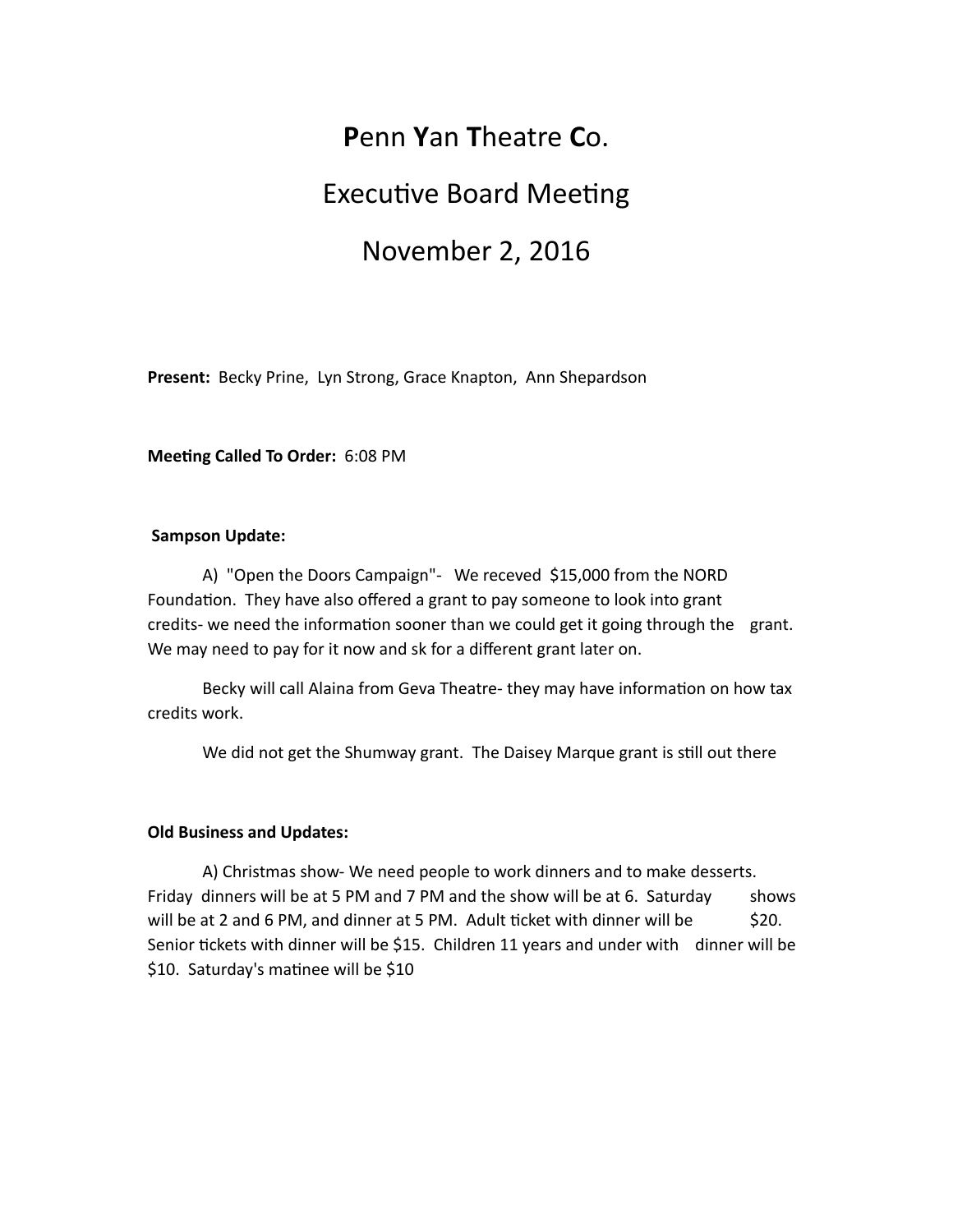# **P**enn **Y**an **T**heatre **C**o.

# **Executive Board Meeting**

## November 2, 2016

**Present:** Becky Prine, Lyn Strong, Grace Knapton, Ann Shepardson

**Meeting Called To Order:** 6:08 PM

#### **Sampson Update:**

A) "Open the Doors Campaign"- We receved \$15,000 from the NORD Foundation. They have also offered a grant to pay someone to look into grant credits- we need the information sooner than we could get it going through the grant. We may need to pay for it now and sk for a different grant later on.

Becky will call Alaina from Geva Theatre- they may have information on how tax credits work.

We did not get the Shumway grant. The Daisey Marque grant is still out there

### **Old Business and Updates:**

A) Christmas show- We need people to work dinners and to make desserts. Friday dinners will be at 5 PM and 7 PM and the show will be at 6. Saturday shows will be at 2 and 6 PM, and dinner at 5 PM. Adult ticket with dinner will be  $\frac{520}{100}$ . Senior tickets with dinner will be \$15. Children 11 years and under with dinner will be \$10. Saturday's matinee will be \$10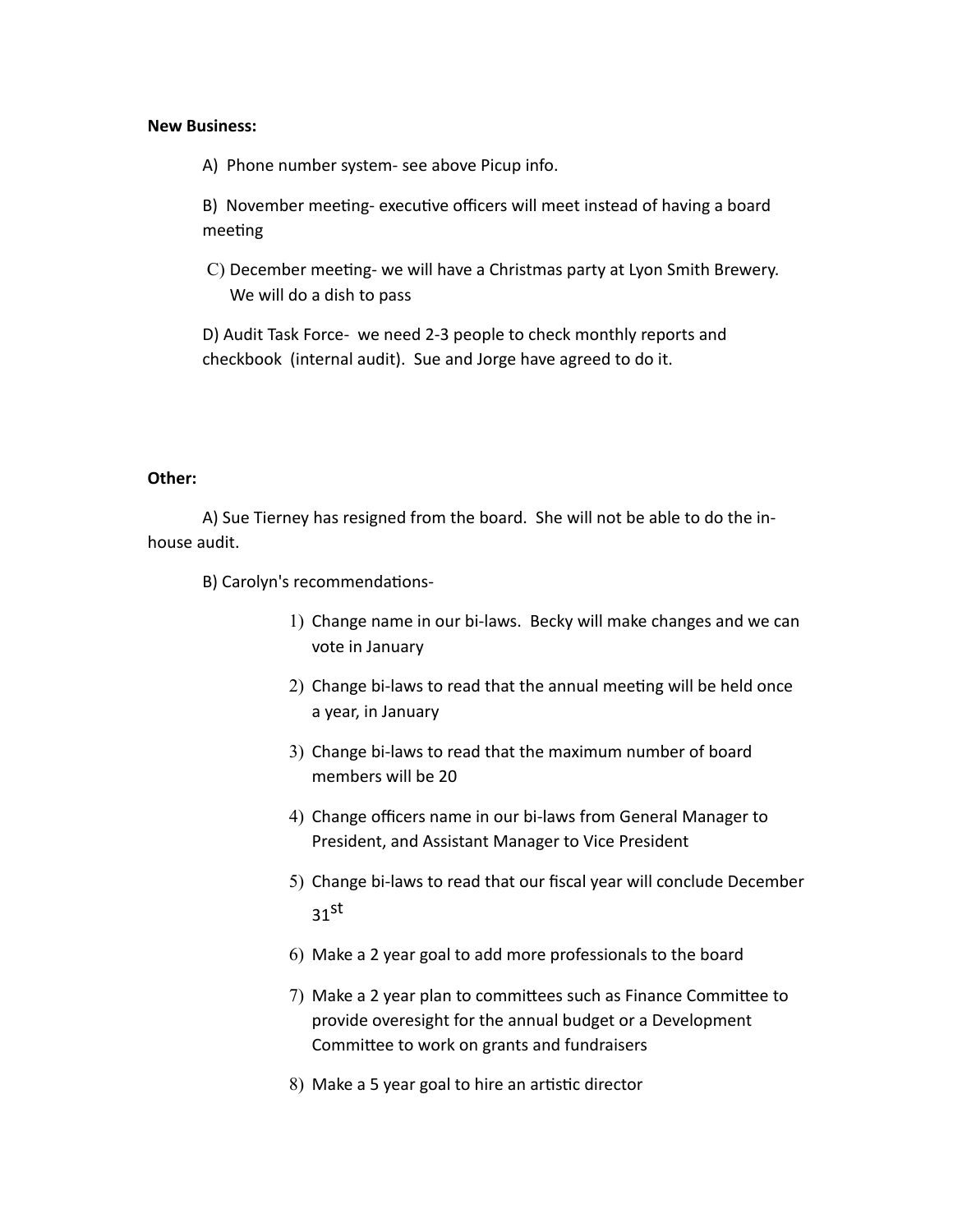#### **New Business:**

A) Phone number system- see above Picup info.

B) November meeting- executive officers will meet instead of having a board meeting

C) December meeting- we will have a Christmas party at Lyon Smith Brewery. We will do a dish to pass

D) Audit Task Force- we need 2-3 people to check monthly reports and checkbook (internal audit). Sue and Jorge have agreed to do it.

### **Other:**

A) Sue Tierney has resigned from the board. She will not be able to do the inhouse audit.

B) Carolyn's recommendations-

- 1) Change name in our bi-laws. Becky will make changes and we can vote in January
- 2) Change bi-laws to read that the annual meeting will be held once a year, in January
- 3) Change bi-laws to read that the maximum number of board members will be 20
- 4) Change officers name in our bi-laws from General Manager to President, and Assistant Manager to Vice President
- 5) Change bi-laws to read that our fiscal year will conclude December  $31$ <sup>st</sup>
- 6) Make a 2 year goal to add more professionals to the board
- 7) Make a 2 year plan to committees such as Finance Committee to provide overesight for the annual budget or a Development Committee to work on grants and fundraisers
- 8) Make a 5 year goal to hire an artistic director